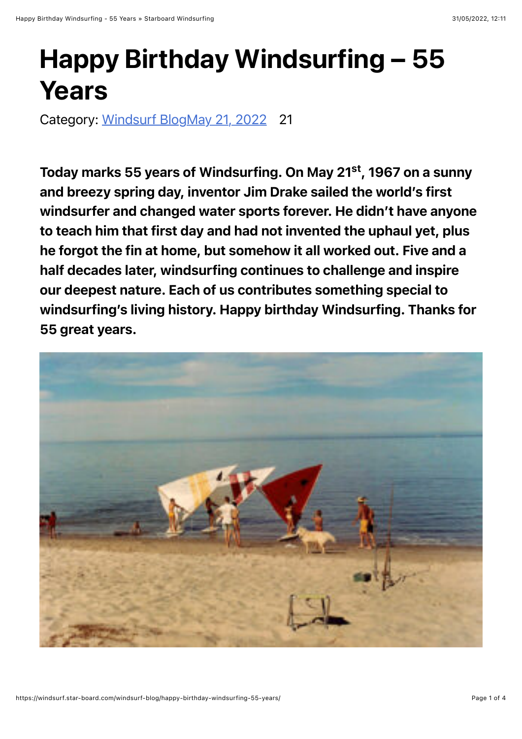## Happy Birthday Windsurfing – 55 Years

Category: [Windsurf Blog](https://windsurf.star-board.com/category/windsurf-blog/)[May 21, 2022](https://windsurf.star-board.com/2022/05/21/) 21

Today marks 55 years of Windsurfing. On May 21<sup>st</sup>, 1967 on a sunny and breezy spring day, inventor Jim Drake sailed the world's first windsurfer and changed water sports forever. He didn't have anyone to teach him that first day and had not invented the uphaul yet, plus he forgot the fin at home, but somehow it all worked out. Five and a half decades later, windsurfing continues to challenge and inspire our deepest nature. Each of us contributes something special to windsurfing's living history. Happy birthday Windsurfing. Thanks for 55 great years.

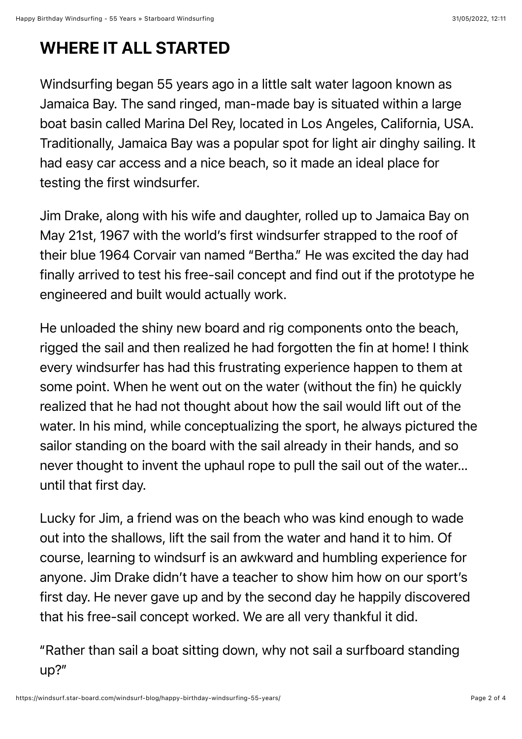## WHERE IT ALL STARTED

Windsurfing began 55 years ago in a little salt water lagoon known as Jamaica Bay. The sand ringed, man-made bay is situated within a large boat basin called Marina Del Rey, located in Los Angeles, California, USA. Traditionally, Jamaica Bay was a popular spot for light air dinghy sailing. It had easy car access and a nice beach, so it made an ideal place for testing the first windsurfer.

Jim Drake, along with his wife and daughter, rolled up to Jamaica Bay on May 21st, 1967 with the world's first windsurfer strapped to the roof of their blue 1964 Corvair van named "Bertha." He was excited the day had finally arrived to test his free-sail concept and find out if the prototype he engineered and built would actually work.

He unloaded the shiny new board and rig components onto the beach, rigged the sail and then realized he had forgotten the fin at home! I think every windsurfer has had this frustrating experience happen to them at some point. When he went out on the water (without the fin) he quickly realized that he had not thought about how the sail would lift out of the water. In his mind, while conceptualizing the sport, he always pictured the sailor standing on the board with the sail already in their hands, and so never thought to invent the uphaul rope to pull the sail out of the water… until that first day.

Lucky for Jim, a friend was on the beach who was kind enough to wade out into the shallows, lift the sail from the water and hand it to him. Of course, learning to windsurf is an awkward and humbling experience for anyone. Jim Drake didn't have a teacher to show him how on our sport's first day. He never gave up and by the second day he happily discovered that his free-sail concept worked. We are all very thankful it did.

"Rather than sail a boat sitting down, why not sail a surfboard standing up?"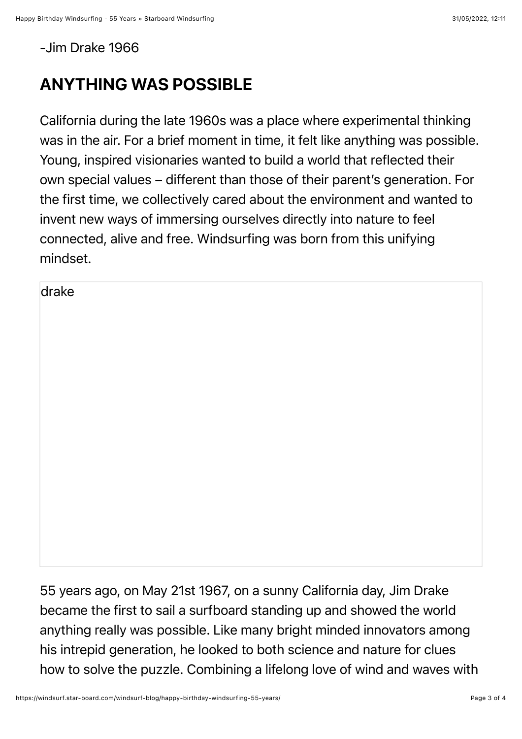-Jim Drake 1966

## ANYTHING WAS POSSIBLE

California during the late 1960s was a place where experimental thinking was in the air. For a brief moment in time, it felt like anything was possible. Young, inspired visionaries wanted to build a world that reflected their own special values – different than those of their parent's generation. For the first time, we collectively cared about the environment and wanted to invent new ways of immersing ourselves directly into nature to feel connected, alive and free. Windsurfing was born from this unifying mindset.

drake

55 years ago, on May 21st 1967, on a sunny California day, Jim Drake became the first to sail a surfboard standing up and showed the world anything really was possible. Like many bright minded innovators among his intrepid generation, he looked to both science and nature for clues how to solve the puzzle. Combining a lifelong love of wind and waves with